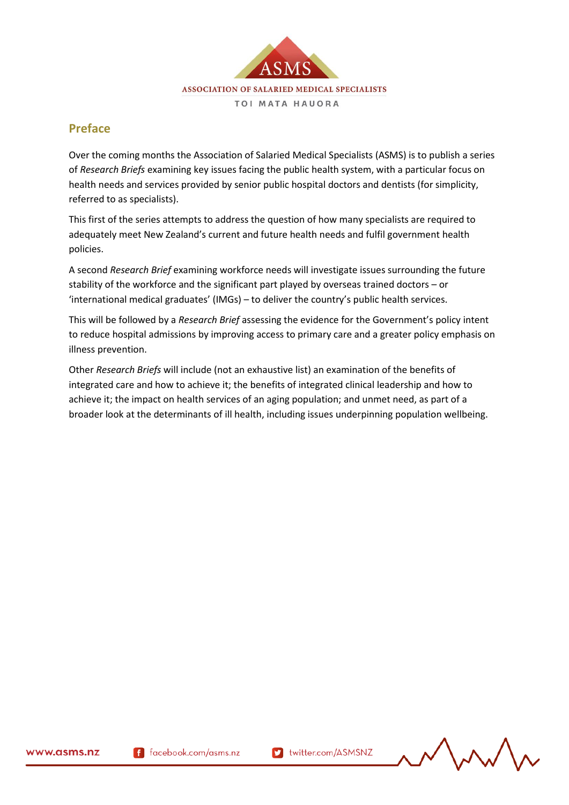

## **Preface**

Over the coming months the Association of Salaried Medical Specialists (ASMS) is to publish a series of *Research Briefs* examining key issues facing the public health system, with a particular focus on health needs and services provided by senior public hospital doctors and dentists (for simplicity, referred to as specialists).

This first of the series attempts to address the question of how many specialists are required to adequately meet New Zealand's current and future health needs and fulfil government health policies.

A second *Research Brief* examining workforce needs will investigate issues surrounding the future stability of the workforce and the significant part played by overseas trained doctors – or 'international medical graduates' (IMGs) – to deliver the country's public health services.

This will be followed by a *Research Brief* assessing the evidence for the Government's policy intent to reduce hospital admissions by improving access to primary care and a greater policy emphasis on illness prevention.

Other *Research Briefs* will include (not an exhaustive list) an examination of the benefits of integrated care and how to achieve it; the benefits of integrated clinical leadership and how to achieve it; the impact on health services of an aging population; and unmet need, as part of a broader look at the determinants of ill health, including issues underpinning population wellbeing.

171291.1

$$
\text{tr}\left(\mathbf{r}\right)
$$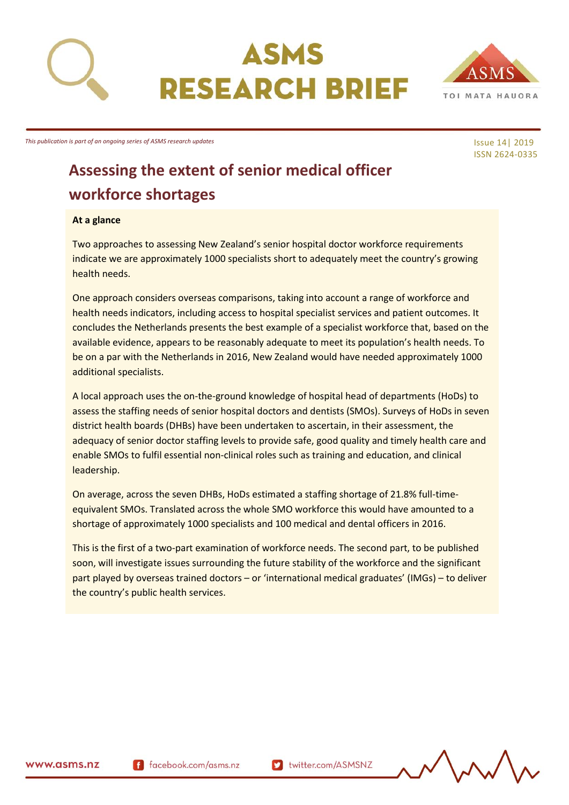



Issue 14| 2019 ISSN 2624-0335

## **Assessing the extent of senior medical officer workforce shortages**

#### **At a glance**

Two approaches to assessing New Zealand's senior hospital doctor workforce requirements indicate we are approximately 1000 specialists short to adequately meet the country's growing health needs.

One approach considers overseas comparisons, taking into account a range of workforce and health needs indicators, including access to hospital specialist services and patient outcomes. It concludes the Netherlands presents the best example of a specialist workforce that, based on the available evidence, appears to be reasonably adequate to meet its population's health needs. To be on a par with the Netherlands in 2016, New Zealand would have needed approximately 1000 additional specialists.

A local approach uses the on-the-ground knowledge of hospital head of departments (HoDs) to assess the staffing needs of senior hospital doctors and dentists (SMOs). Surveys of HoDs in seven district health boards (DHBs) have been undertaken to ascertain, in their assessment, the adequacy of senior doctor staffing levels to provide safe, good quality and timely health care and enable SMOs to fulfil essential non-clinical roles such as training and education, and clinical leadership.

On average, across the seven DHBs, HoDs estimated a staffing shortage of 21.8% full-timeequivalent SMOs. Translated across the whole SMO workforce this would have amounted to a shortage of approximately 1000 specialists and 100 medical and dental officers in 2016.

This is the first of a two-part examination of workforce needs. The second part, to be published soon, will investigate issues surrounding the future stability of the workforce and the significant part played by overseas trained doctors – or 'international medical graduates' (IMGs) – to deliver the country's public health services.



f facebook.com/asms.nz

twitter.com/ASMSNZ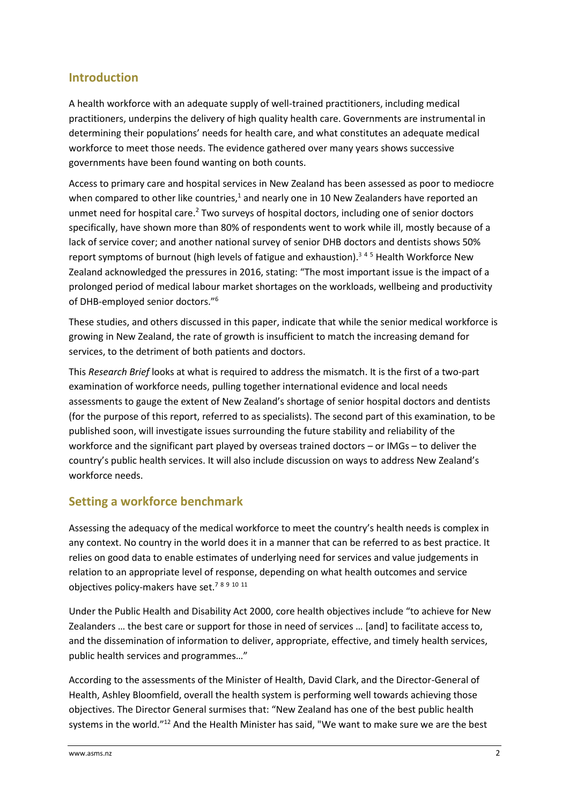## **Introduction**

A health workforce with an adequate supply of well-trained practitioners, including medical practitioners, underpins the delivery of high quality health care. Governments are instrumental in determining their populations' needs for health care, and what constitutes an adequate medical workforce to meet those needs. The evidence gathered over many years shows successive governments have been found wanting on both counts.

Access to primary care and hospital services in New Zealand has been assessed as poor to mediocre when compared to other like countries, $1$  and nearly one in 10 New Zealanders have reported an unmet need for hospital care.<sup>2</sup> Two surveys of hospital doctors, including one of senior doctors specifically, have shown more than 80% of respondents went to work while ill, mostly because of a lack of service cover; and another national survey of senior DHB doctors and dentists shows 50% report symptoms of burnout (high levels of fatigue and exhaustion).<sup>345</sup> Health Workforce New Zealand acknowledged the pressures in 2016, stating: "The most important issue is the impact of a prolonged period of medical labour market shortages on the workloads, wellbeing and productivity of DHB-employed senior doctors."<sup>6</sup>

These studies, and others discussed in this paper, indicate that while the senior medical workforce is growing in New Zealand, the rate of growth is insufficient to match the increasing demand for services, to the detriment of both patients and doctors.

This *Research Brief* looks at what is required to address the mismatch. It is the first of a two-part examination of workforce needs, pulling together international evidence and local needs assessments to gauge the extent of New Zealand's shortage of senior hospital doctors and dentists (for the purpose of this report, referred to as specialists). The second part of this examination, to be published soon, will investigate issues surrounding the future stability and reliability of the workforce and the significant part played by overseas trained doctors – or IMGs – to deliver the country's public health services. It will also include discussion on ways to address New Zealand's workforce needs.

## **Setting a workforce benchmark**

Assessing the adequacy of the medical workforce to meet the country's health needs is complex in any context. No country in the world does it in a manner that can be referred to as best practice. It relies on good data to enable estimates of underlying need for services and value judgements in relation to an appropriate level of response, depending on what health outcomes and service objectives policy-makers have set.<sup>7</sup> <sup>8</sup> <sup>9</sup> <sup>10</sup> <sup>11</sup>

Under the Public Health and Disability Act 2000, core health objectives include "to achieve for New Zealanders … the best care or support for those in need of services … [and] to facilitate access to, and the dissemination of information to deliver, appropriate, effective, and timely health services, public health services and programmes…"

According to the assessments of the Minister of Health, David Clark, and the Director-General of Health, Ashley Bloomfield, overall the health system is performing well towards achieving those objectives. The Director General surmises that: "New Zealand has one of the best public health systems in the world."<sup>12</sup> And the Health Minister has said, "We want to make sure we are the best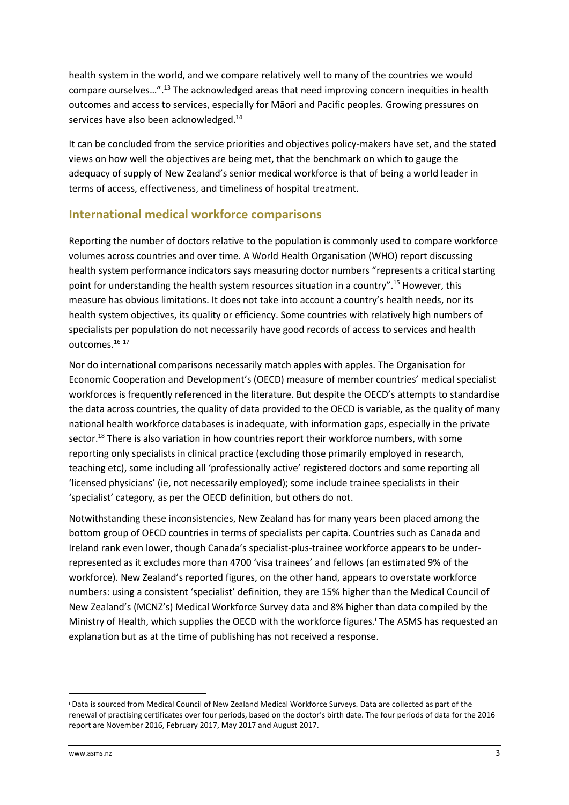health system in the world, and we compare relatively well to many of the countries we would compare ourselves…". <sup>13</sup> The acknowledged areas that need improving concern inequities in health outcomes and access to services, especially for Māori and Pacific peoples. Growing pressures on services have also been acknowledged.<sup>14</sup>

It can be concluded from the service priorities and objectives policy-makers have set, and the stated views on how well the objectives are being met, that the benchmark on which to gauge the adequacy of supply of New Zealand's senior medical workforce is that of being a world leader in terms of access, effectiveness, and timeliness of hospital treatment.

## **International medical workforce comparisons**

Reporting the number of doctors relative to the population is commonly used to compare workforce volumes across countries and over time. A World Health Organisation (WHO) report discussing health system performance indicators says measuring doctor numbers "represents a critical starting point for understanding the health system resources situation in a country".<sup>15</sup> However, this measure has obvious limitations. It does not take into account a country's health needs, nor its health system objectives, its quality or efficiency. Some countries with relatively high numbers of specialists per population do not necessarily have good records of access to services and health outcomes.<sup>16</sup> <sup>17</sup>

Nor do international comparisons necessarily match apples with apples. The Organisation for Economic Cooperation and Development's (OECD) measure of member countries' medical specialist workforces is frequently referenced in the literature. But despite the OECD's attempts to standardise the data across countries, the quality of data provided to the OECD is variable, as the quality of many national health workforce databases is inadequate, with information gaps, especially in the private sector.<sup>18</sup> There is also variation in how countries report their workforce numbers, with some reporting only specialists in clinical practice (excluding those primarily employed in research, teaching etc), some including all 'professionally active' registered doctors and some reporting all 'licensed physicians' (ie, not necessarily employed); some include trainee specialists in their 'specialist' category, as per the OECD definition, but others do not.

Notwithstanding these inconsistencies, New Zealand has for many years been placed among the bottom group of OECD countries in terms of specialists per capita. Countries such as Canada and Ireland rank even lower, though Canada's specialist-plus-trainee workforce appears to be underrepresented as it excludes more than 4700 'visa trainees' and fellows (an estimated 9% of the workforce). New Zealand's reported figures, on the other hand, appears to overstate workforce numbers: using a consistent 'specialist' definition, they are 15% higher than the Medical Council of New Zealand's (MCNZ's) Medical Workforce Survey data and 8% higher than data compiled by the Ministry of Health, which supplies the OECD with the workforce figures. <sup>i</sup> The ASMS has requested an explanation but as at the time of publishing has not received a response.

**.** 

<sup>i</sup> Data is sourced from Medical Council of New Zealand Medical Workforce Surveys. Data are collected as part of the renewal of practising certificates over four periods, based on the doctor's birth date. The four periods of data for the 2016 report are November 2016, February 2017, May 2017 and August 2017.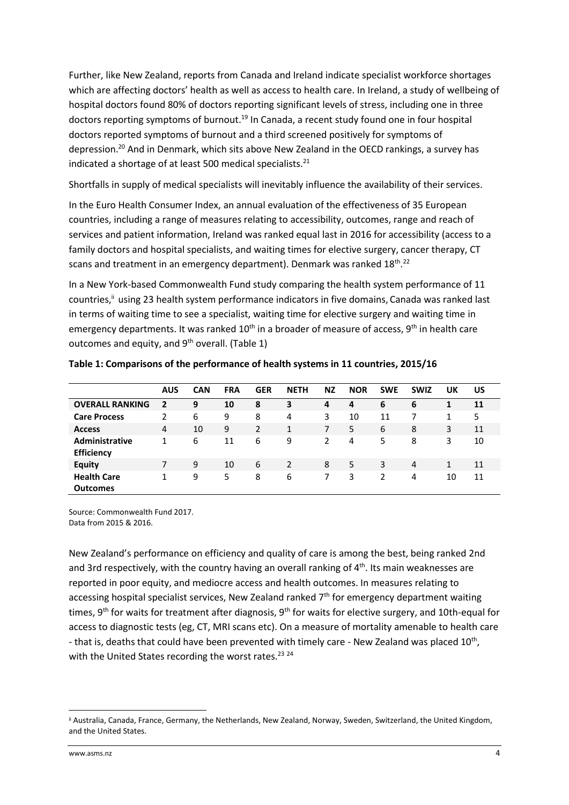Further, like New Zealand, reports from Canada and Ireland indicate specialist workforce shortages which are affecting doctors' health as well as access to health care. In Ireland, a study of wellbeing of hospital doctors found 80% of doctors reporting significant levels of stress, including one in three doctors reporting symptoms of burnout.<sup>19</sup> In Canada, a recent study found one in four hospital doctors reported symptoms of burnout and a third screened positively for symptoms of depression.<sup>20</sup> And in Denmark, which sits above New Zealand in the OECD rankings, a survey has indicated a shortage of at least 500 medical specialists. $^{21}$ 

Shortfalls in supply of medical specialists will inevitably influence the availability of their services.

In the Euro Health Consumer Index, an annual evaluation of the effectiveness of 35 European countries, including a range of measures relating to accessibility, outcomes, range and reach of services and patient information, Ireland was ranked equal last in 2016 for accessibility (access to a family doctors and hospital specialists, and waiting times for elective surgery, cancer therapy, CT scans and treatment in an emergency department). Denmark was ranked 18<sup>th</sup>.<sup>22</sup>

In a New York-based Commonwealth Fund study comparing the health system performance of 11 countries,<sup>ii</sup> using 23 health system performance indicators in five domains, Canada was ranked last in terms of waiting time to see a specialist, waiting time for elective surgery and waiting time in emergency departments. It was ranked 10<sup>th</sup> in a broader of measure of access, 9<sup>th</sup> in health care outcomes and equity, and  $9<sup>th</sup>$  overall. (Table 1)

|                                            | AUS | <b>CAN</b> | <b>FRA</b> | <b>GER</b> | <b>NETH</b> | <b>NZ</b> | <b>NOR</b> | <b>SWE</b> | <b>SWIZ</b> | UK | US |
|--------------------------------------------|-----|------------|------------|------------|-------------|-----------|------------|------------|-------------|----|----|
| <b>OVERALL RANKING</b>                     | 2   | 9          | 10         | 8          | 3           | 4         | 4          | 6          | 6           | 1  | 11 |
| <b>Care Process</b>                        | 2   | 6          | 9          | 8          | 4           | 3         | 10         | 11         |             | 1  | 5  |
| <b>Access</b>                              | 4   | 10         | 9          | 2          | 1           | 7         | 5          | 6          | 8           | 3  | 11 |
| <b>Administrative</b><br><b>Efficiency</b> |     | 6          | 11         | 6          | 9           | 2         | 4          | 5          | 8           | 3  | 10 |
| <b>Equity</b>                              | 7   | 9          | 10         | 6          | 2           | 8         | 5          | 3          | 4           | 1  | 11 |
| <b>Health Care</b><br><b>Outcomes</b>      |     | 9          | 5          | 8          | 6           |           | 3          | 2          | 4           | 10 | 11 |

**Table 1: Comparisons of the performance of health systems in 11 countries, 2015/16**

Source: Commonwealth Fund 2017. Data from 2015 & 2016.

New Zealand's performance on efficiency and quality of care is among the best, being ranked 2nd and 3rd respectively, with the country having an overall ranking of  $4<sup>th</sup>$ . Its main weaknesses are reported in poor equity, and mediocre access and health outcomes. In measures relating to accessing hospital specialist services, New Zealand ranked  $7<sup>th</sup>$  for emergency department waiting times, 9<sup>th</sup> for waits for treatment after diagnosis, 9<sup>th</sup> for waits for elective surgery, and 10th-equal for access to diagnostic tests (eg, CT, MRI scans etc). On a measure of mortality amenable to health care - that is, deaths that could have been prevented with timely care - New Zealand was placed 10<sup>th</sup>, with the United States recording the worst rates.<sup>23 24</sup>

**.** 

ii Australia, Canada, France, Germany, the Netherlands, New Zealand, Norway, Sweden, Switzerland, the United Kingdom, and the United States.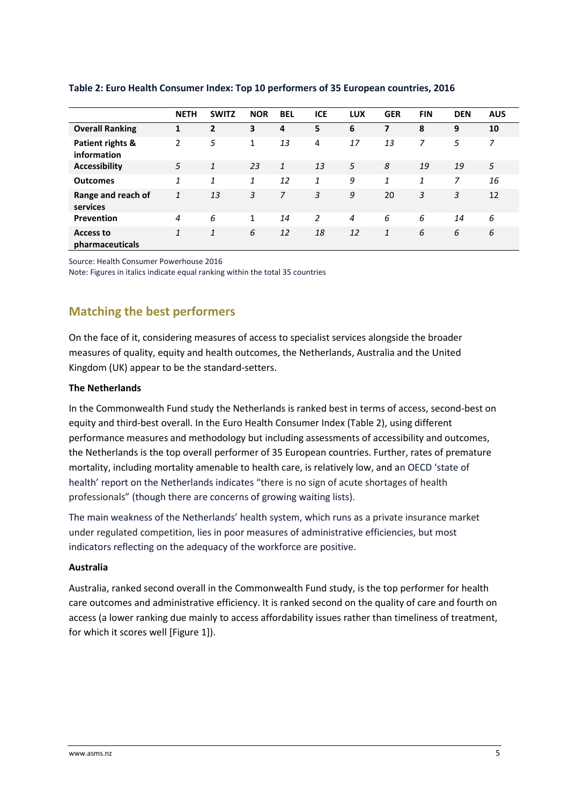|                                     | <b>NETH</b> | <b>SWITZ</b> | <b>NOR</b>   | <b>BEL</b>   | <b>ICE</b>     | <b>LUX</b>     | <b>GER</b>   | <b>FIN</b> | <b>DEN</b> | <b>AUS</b> |
|-------------------------------------|-------------|--------------|--------------|--------------|----------------|----------------|--------------|------------|------------|------------|
| <b>Overall Ranking</b>              | 1           | 2            | 3            | 4            | 5              | 6              | 7            | 8          | 9          | 10         |
| Patient rights &<br>information     | 2           | 5            | 1            | 13           | 4              | 17             | 13           | 7          | 5          | 7          |
| <b>Accessibility</b>                | 5           | 1            | 23           | $\mathbf{1}$ | 13             | 5              | 8            | 19         | 19         | 5          |
| <b>Outcomes</b>                     | 1           | 1            | 1            | 12           | 1              | 9              | 1            | 1          | 7          | 16         |
| Range and reach of<br>services      | 1           | 13           | 3            | 7            | 3              | 9              | 20           | 3          | 3          | 12         |
| Prevention                          | 4           | 6            | $\mathbf{1}$ | 14           | $\overline{2}$ | $\overline{4}$ | 6            | 6          | 14         | 6          |
| <b>Access to</b><br>pharmaceuticals | 1           | 1            | 6            | 12           | 18             | 12             | $\mathbf{1}$ | 6          | 6          | 6          |

#### **Table 2: Euro Health Consumer Index: Top 10 performers of 35 European countries, 2016**

Source: Health Consumer Powerhouse 2016

Note: Figures in italics indicate equal ranking within the total 35 countries

## **Matching the best performers**

On the face of it, considering measures of access to specialist services alongside the broader measures of quality, equity and health outcomes, the Netherlands, Australia and the United Kingdom (UK) appear to be the standard-setters.

#### **The Netherlands**

In the Commonwealth Fund study the Netherlands is ranked best in terms of access, second-best on equity and third-best overall. In the Euro Health Consumer Index (Table 2), using different performance measures and methodology but including assessments of accessibility and outcomes, the Netherlands is the top overall performer of 35 European countries. Further, rates of premature mortality, including mortality amenable to health care, is relatively low, and an OECD 'state of health' report on the Netherlands indicates "there is no sign of acute shortages of health professionals" (though there are concerns of growing waiting lists).

The main weakness of the Netherlands' health system, which runs as a private insurance market under regulated competition, lies in poor measures of administrative efficiencies, but most indicators reflecting on the adequacy of the workforce are positive.

#### **Australia**

Australia, ranked second overall in the Commonwealth Fund study, is the top performer for health care outcomes and administrative efficiency. It is ranked second on the quality of care and fourth on access (a lower ranking due mainly to access affordability issues rather than timeliness of treatment, for which it scores well [Figure 1]).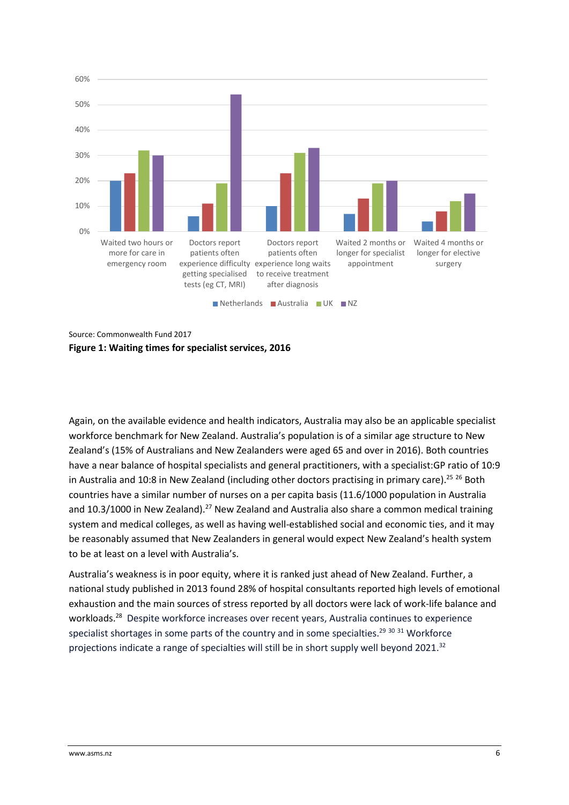

Source: Commonwealth Fund 2017 **Figure 1: Waiting times for specialist services, 2016**

Again, on the available evidence and health indicators, Australia may also be an applicable specialist workforce benchmark for New Zealand. Australia's population is of a similar age structure to New Zealand's (15% of Australians and New Zealanders were aged 65 and over in 2016). Both countries have a near balance of hospital specialists and general practitioners, with a specialist:GP ratio of 10:9 in Australia and 10:8 in New Zealand (including other doctors practising in primary care).<sup>25 26</sup> Both countries have a similar number of nurses on a per capita basis (11.6/1000 population in Australia and 10.3/1000 in New Zealand).<sup>27</sup> New Zealand and Australia also share a common medical training system and medical colleges, as well as having well-established social and economic ties, and it may be reasonably assumed that New Zealanders in general would expect New Zealand's health system to be at least on a level with Australia's.

Australia's weakness is in poor equity, where it is ranked just ahead of New Zealand. Further, a national study published in 2013 found 28% of hospital consultants reported high levels of emotional exhaustion and the main sources of stress reported by all doctors were lack of work-life balance and workloads.<sup>28</sup> Despite workforce increases over recent years, Australia continues to experience specialist shortages in some parts of the country and in some specialties.<sup>29 30 31</sup> Workforce projections indicate a range of specialties will still be in short supply well beyond 2021.<sup>32</sup>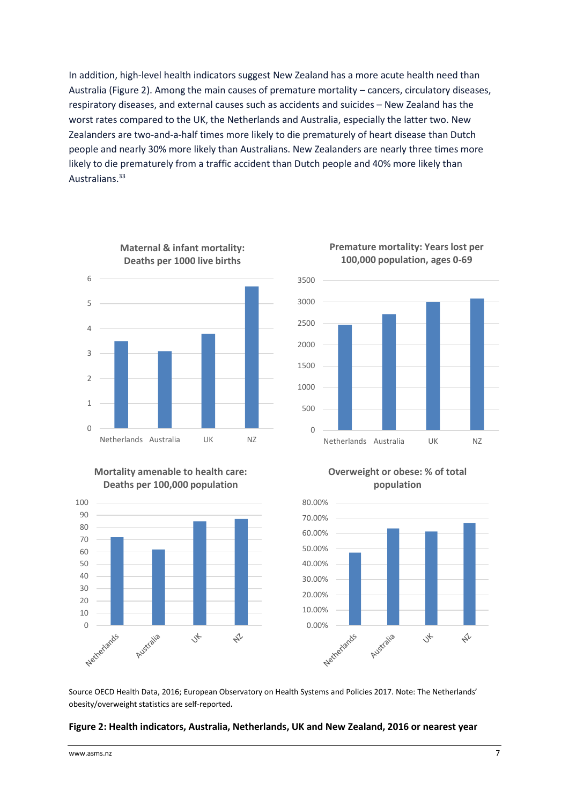In addition, high-level health indicators suggest New Zealand has a more acute health need than Australia (Figure 2). Among the main causes of premature mortality – cancers, circulatory diseases, respiratory diseases, and external causes such as accidents and suicides – New Zealand has the worst rates compared to the UK, the Netherlands and Australia, especially the latter two. New Zealanders are two-and-a-half times more likely to die prematurely of heart disease than Dutch people and nearly 30% more likely than Australians. New Zealanders are nearly three times more likely to die prematurely from a traffic accident than Dutch people and 40% more likely than Australians.<sup>33</sup>



# **Mortality amenable to health care:**





#### **Premature mortality: Years lost per 100,000 population, ages 0-69**

**Overweight or obese: % of total population**



Source OECD Health Data, 2016; European Observatory on Health Systems and Policies 2017. Note: The Netherlands' obesity/overweight statistics are self-reported**.**

#### **Figure 2: Health indicators, Australia, Netherlands, UK and New Zealand, 2016 or nearest year**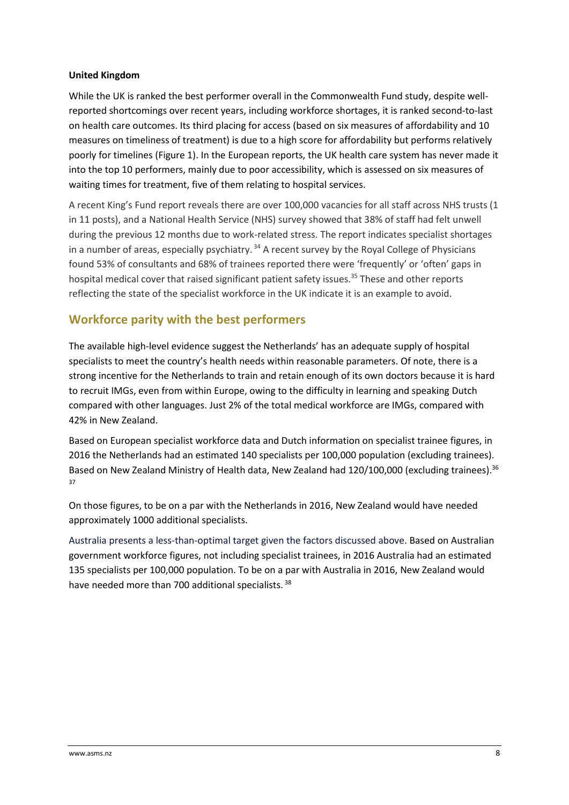#### **United Kingdom**

While the UK is ranked the best performer overall in the Commonwealth Fund study, despite wellreported shortcomings over recent years, including workforce shortages, it is ranked second-to-last on health care outcomes. Its third placing for access (based on six measures of affordability and 10 measures on timeliness of treatment) is due to a high score for affordability but performs relatively poorly for timelines (Figure 1). In the European reports, the UK health care system has never made it into the top 10 performers, mainly due to poor accessibility, which is assessed on six measures of waiting times for treatment, five of them relating to hospital services.

A recent King's Fund report reveals there are over 100,000 vacancies for all staff across NHS trusts (1 in 11 posts), and a National Health Service (NHS) survey showed that 38% of staff had felt unwell during the previous 12 months due to work-related stress. The report indicates specialist shortages in a number of areas, especially psychiatry.<sup>34</sup> A recent survey by the Royal College of Physicians found 53% of consultants and 68% of trainees reported there were 'frequently' or 'often' gaps in hospital medical cover that raised significant patient safety issues.<sup>35</sup> These and other reports reflecting the state of the specialist workforce in the UK indicate it is an example to avoid.

## **Workforce parity with the best performers**

The available high-level evidence suggest the Netherlands' has an adequate supply of hospital specialists to meet the country's health needs within reasonable parameters. Of note, there is a strong incentive for the Netherlands to train and retain enough of its own doctors because it is hard to recruit IMGs, even from within Europe, owing to the difficulty in learning and speaking Dutch compared with other languages. Just 2% of the total medical workforce are IMGs, compared with 42% in New Zealand.

Based on European specialist workforce data and Dutch information on specialist trainee figures, in 2016 the Netherlands had an estimated 140 specialists per 100,000 population (excluding trainees). Based on New Zealand Ministry of Health data, New Zealand had 120/100,000 (excluding trainees).<sup>36</sup> 37

On those figures, to be on a par with the Netherlands in 2016, New Zealand would have needed approximately 1000 additional specialists.

Australia presents a less-than-optimal target given the factors discussed above. Based on Australian government workforce figures, not including specialist trainees, in 2016 Australia had an estimated 135 specialists per 100,000 population. To be on a par with Australia in 2016, New Zealand would have needed more than 700 additional specialists.<sup>38</sup>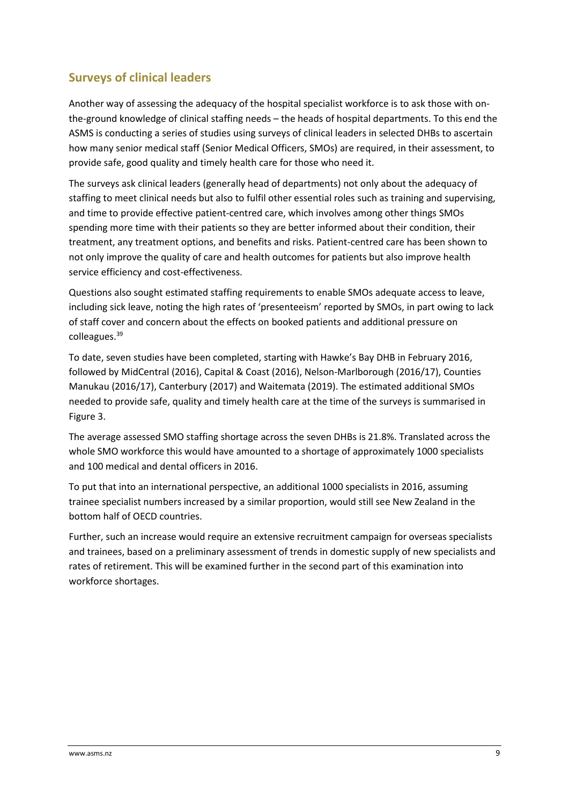## **Surveys of clinical leaders**

Another way of assessing the adequacy of the hospital specialist workforce is to ask those with onthe-ground knowledge of clinical staffing needs – the heads of hospital departments. To this end the ASMS is conducting a series of studies using surveys of clinical leaders in selected DHBs to ascertain how many senior medical staff (Senior Medical Officers, SMOs) are required, in their assessment, to provide safe, good quality and timely health care for those who need it.

The surveys ask clinical leaders (generally head of departments) not only about the adequacy of staffing to meet clinical needs but also to fulfil other essential roles such as training and supervising, and time to provide effective patient-centred care, which involves among other things SMOs spending more time with their patients so they are better informed about their condition, their treatment, any treatment options, and benefits and risks. Patient-centred care has been shown to not only improve the quality of care and health outcomes for patients but also improve health service efficiency and cost-effectiveness.

Questions also sought estimated staffing requirements to enable SMOs adequate access to leave, including sick leave, noting the high rates of 'presenteeism' reported by SMOs, in part owing to lack of staff cover and concern about the effects on booked patients and additional pressure on colleagues.<sup>39</sup>

To date, seven studies have been completed, starting with Hawke's Bay DHB in February 2016, followed by MidCentral (2016), Capital & Coast (2016), Nelson-Marlborough (2016/17), Counties Manukau (2016/17), Canterbury (2017) and Waitemata (2019). The estimated additional SMOs needed to provide safe, quality and timely health care at the time of the surveys is summarised in Figure 3.

The average assessed SMO staffing shortage across the seven DHBs is 21.8%. Translated across the whole SMO workforce this would have amounted to a shortage of approximately 1000 specialists and 100 medical and dental officers in 2016.

To put that into an international perspective, an additional 1000 specialists in 2016, assuming trainee specialist numbers increased by a similar proportion, would still see New Zealand in the bottom half of OECD countries.

Further, such an increase would require an extensive recruitment campaign for overseas specialists and trainees, based on a preliminary assessment of trends in domestic supply of new specialists and rates of retirement. This will be examined further in the second part of this examination into workforce shortages.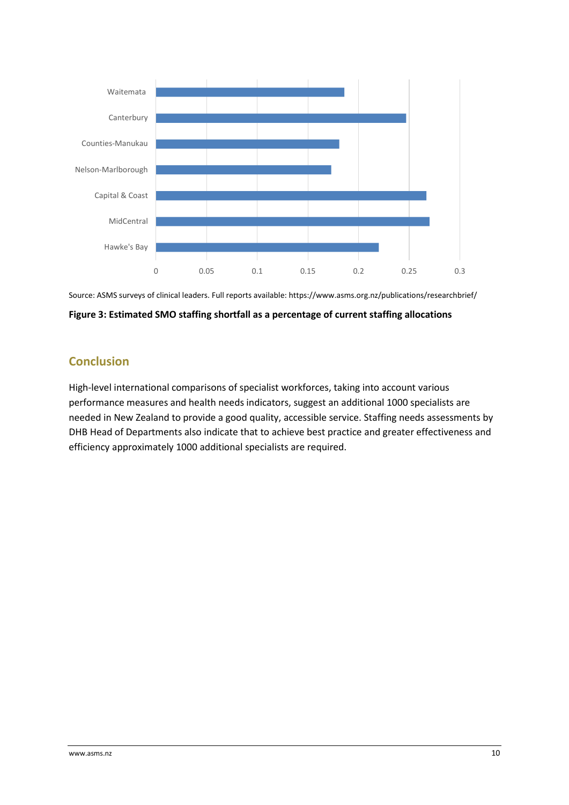



**Figure 3: Estimated SMO staffing shortfall as a percentage of current staffing allocations** 

## **Conclusion**

High-level international comparisons of specialist workforces, taking into account various performance measures and health needs indicators, suggest an additional 1000 specialists are needed in New Zealand to provide a good quality, accessible service. Staffing needs assessments by DHB Head of Departments also indicate that to achieve best practice and greater effectiveness and efficiency approximately 1000 additional specialists are required.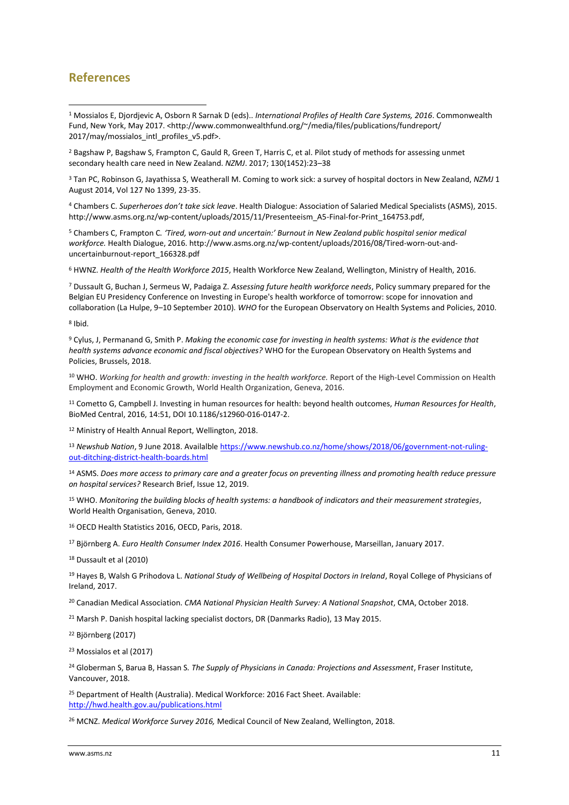### **References**

**.** 

<sup>1</sup> Mossialos E, Djordjevic A, Osborn R Sarnak D (eds).. *International Profiles of Health Care Systems, 2016*. Commonwealth Fund, New York, May 2017. <http://www.commonwealthfund.org/~/media/files/publications/fundreport/ 2017/may/mossialos\_intl\_profiles\_v5.pdf>.

<sup>2</sup> Bagshaw P, Bagshaw S, Frampton C, Gauld R, Green T, Harris C, et al. Pilot study of methods for assessing unmet secondary health care need in New Zealand. *NZMJ*. 2017; 130(1452):23–38

<sup>3</sup> Tan PC, Robinson G, Jayathissa S, Weatherall M. Coming to work sick: a survey of hospital doctors in New Zealand, *NZMJ* 1 August 2014, Vol 127 No 1399, 23-35.

<sup>4</sup> Chambers C. *Superheroes don't take sick leave*. Health Dialogue: Association of Salaried Medical Specialists (ASMS), 2015. http://www.asms.org.nz/wp-content/uploads/2015/11/Presenteeism\_A5-Final-for-Print\_164753.pdf,

<sup>5</sup> Chambers C, Frampton C*. 'Tired, worn-out and uncertain:' Burnout in New Zealand public hospital senior medical workforce.* Health Dialogue, 2016. http://www.asms.org.nz/wp-content/uploads/2016/08/Tired-worn-out-anduncertainburnout-report\_166328.pdf

<sup>6</sup> HWNZ. *Health of the Health Workforce 2015*, Health Workforce New Zealand, Wellington, Ministry of Health, 2016.

<sup>7</sup> Dussault G, Buchan J, Sermeus W, Padaiga Z. *Assessing future health workforce needs*, Policy summary prepared for the Belgian EU Presidency Conference on Investing in Europe's health workforce of tomorrow: scope for innovation and collaboration (La Hulpe, 9–10 September 2010)*. WHO* for the European Observatory on Health Systems and Policies, 2010.

8 Ibid.

<sup>9</sup> Cylus, J, Permanand G, Smith P. *Making the economic case for investing in health systems: What is the evidence that health systems advance economic and fiscal objectives?* WHO for the European Observatory on Health Systems and Policies, Brussels, 2018.

<sup>10</sup> WHO. *Working for health and growth: investing in the health workforce.* Report of the High-Level Commission on Health Employment and Economic Growth, World Health Organization, Geneva, 2016.

<sup>11</sup> Cometto G, Campbell J. Investing in human resources for health: beyond health outcomes, *Human Resources for Health*, BioMed Central, 2016, 14:51, DOI 10.1186/s12960-016-0147-2.

<sup>12</sup> Ministry of Health Annual Report, Wellington, 2018.

<sup>13</sup> Newshub Nation, 9 June 2018. Availalbl[e https://www.newshub.co.nz/home/shows/2018/06/government-not-ruling](https://www.newshub.co.nz/home/shows/2018/06/government-not-ruling-out-ditching-district-health-boards.html)[out-ditching-district-health-boards.html](https://www.newshub.co.nz/home/shows/2018/06/government-not-ruling-out-ditching-district-health-boards.html)

<sup>14</sup> ASMS. *Does more access to primary care and a greater focus on preventing illness and promoting health reduce pressure on hospital services?* Research Brief, Issue 12, 2019.

<sup>15</sup> WHO. *Monitoring the building blocks of health systems: a handbook of indicators and their measurement strategies*, World Health Organisation, Geneva, 2010.

<sup>16</sup> OECD Health Statistics 2016, OECD, Paris, 2018.

<sup>17</sup> Björnberg A. *Euro Health Consumer Index 2016*. Health Consumer Powerhouse, Marseillan, January 2017.

<sup>18</sup> Dussault et al (2010)

<sup>19</sup> Hayes B, Walsh G Prihodova L. *National Study of Wellbeing of Hospital Doctors in Ireland*, Royal College of Physicians of Ireland, 2017.

<sup>20</sup> Canadian Medical Association. *CMA National Physician Health Survey: A National Snapshot*, CMA, October 2018.

<sup>21</sup> Marsh P. Danish hospital lacking specialist doctors, DR (Danmarks Radio), 13 May 2015.

<sup>22</sup> Björnberg (2017)

<sup>23</sup> Mossialos et al (2017)

<sup>24</sup> Globerman S, Barua B, Hassan S*. The Supply of Physicians in Canada: Projections and Assessment*, Fraser Institute, Vancouver, 2018.

<sup>25</sup> Department of Health (Australia). Medical Workforce: 2016 Fact Sheet. Available: <http://hwd.health.gov.au/publications.html>

<sup>26</sup> MCNZ. *Medical Workforce Survey 2016,* Medical Council of New Zealand, Wellington, 2018.